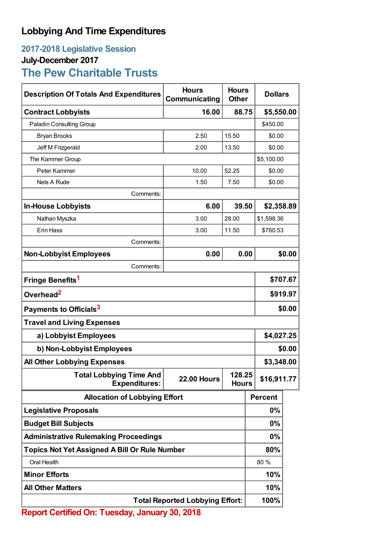## **Lobbying And Time Expenditures**

## **2017-2018 Legislative Session July-December 2017**

# **The Pew Charitable Trusts**

| <b>Description Of Totals And Expenditures</b>                                                          | <b>Hours</b><br>Communicating          | <b>Hours</b><br><b>Other</b> |             | <b>Dollars</b> |        |
|--------------------------------------------------------------------------------------------------------|----------------------------------------|------------------------------|-------------|----------------|--------|
| <b>Contract Lobbyists</b>                                                                              | 16.00                                  | 88.75                        |             | \$5,550.00     |        |
| Paladin Consulting Group                                                                               |                                        |                              |             | \$450.00       |        |
| <b>Bryan Brooks</b>                                                                                    | 2.50                                   | 15.50                        |             | \$0.00         |        |
| Jeff M Fitzgerald                                                                                      | 2.00                                   | 13.50                        |             | \$0.00         |        |
| The Kammer Group                                                                                       |                                        |                              |             | \$5,100.00     |        |
| Peter Kammer                                                                                           | 10.00                                  | 52.25                        |             | \$0.00         |        |
| <b>Nels A Rude</b>                                                                                     | 1.50                                   | 7.50                         |             | \$0.00         |        |
| Comments:                                                                                              |                                        |                              |             |                |        |
| <b>In-House Lobbyists</b>                                                                              | 6.00                                   | 39.50                        |             | \$2,358.89     |        |
| Nathan Myszka                                                                                          | 3.00                                   | 28.00                        |             | \$1,598.36     |        |
| Erin Hass                                                                                              | 3.00                                   | 11.50                        |             | \$760.53       |        |
| Comments:                                                                                              |                                        |                              |             |                |        |
| <b>Non-Lobbyist Employees</b>                                                                          | 0.00                                   |                              | 0.00        |                | \$0.00 |
| Comments:                                                                                              |                                        |                              |             |                |        |
| Fringe Benefits <sup>1</sup>                                                                           |                                        |                              |             | \$707.67       |        |
| Overhead <sup>2</sup>                                                                                  |                                        |                              |             | \$919.97       |        |
| Payments to Officials <sup>3</sup>                                                                     |                                        |                              |             | \$0.00         |        |
| <b>Travel and Living Expenses</b>                                                                      |                                        |                              |             |                |        |
| a) Lobbyist Employees                                                                                  |                                        |                              |             | \$4,027.25     |        |
| b) Non-Lobbyist Employees                                                                              |                                        |                              |             | \$0.00         |        |
| <b>All Other Lobbying Expenses</b>                                                                     |                                        |                              |             | \$3,348.00     |        |
| 128.25<br><b>Total Lobbying Time And</b><br><b>22.00 Hours</b><br><b>Expenditures:</b><br><b>Hours</b> |                                        |                              | \$16,911.77 |                |        |
| <b>Allocation of Lobbying Effort</b>                                                                   |                                        |                              |             | <b>Percent</b> |        |
| <b>Legislative Proposals</b>                                                                           |                                        |                              |             | $0\%$          |        |
| <b>Budget Bill Subjects</b>                                                                            |                                        |                              |             | $0\%$          |        |
| <b>Administrative Rulemaking Proceedings</b>                                                           |                                        |                              |             | $0\%$          |        |
| <b>Topics Not Yet Assigned A Bill Or Rule Number</b>                                                   |                                        |                              |             | 80%            |        |
| Oral Health                                                                                            |                                        |                              |             | 80 %           |        |
| <b>Minor Efforts</b>                                                                                   |                                        |                              |             | 10%            |        |
| <b>All Other Matters</b>                                                                               |                                        |                              |             | 10%            |        |
|                                                                                                        | <b>Total Reported Lobbying Effort:</b> |                              |             | 100%           |        |
| <b>Report Certified On: Tuesday, January 30, 2018</b>                                                  |                                        |                              |             |                |        |